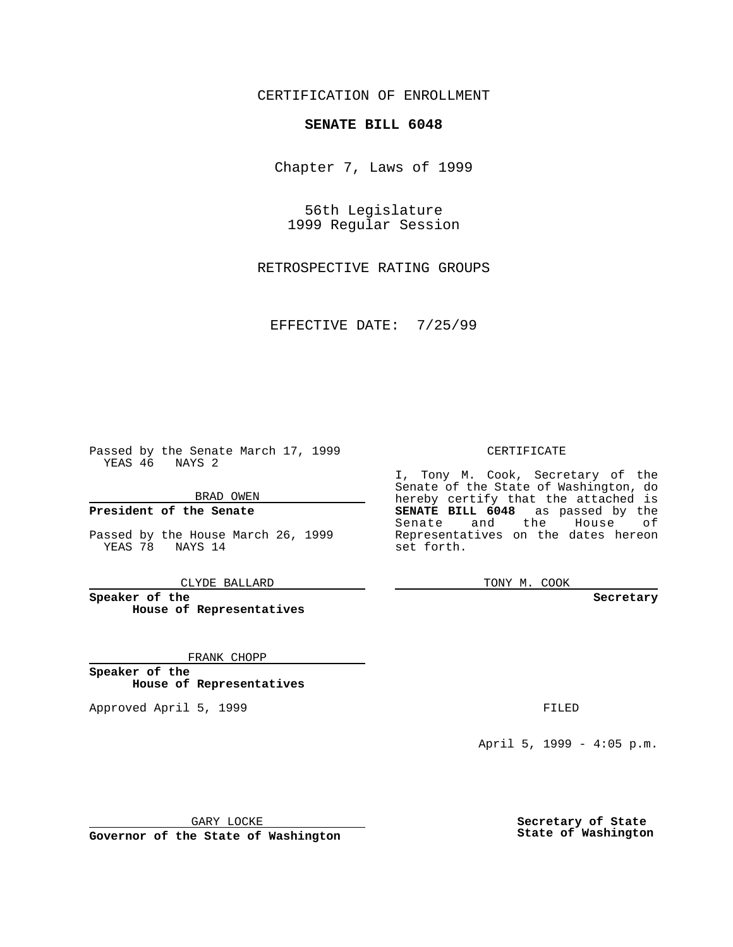CERTIFICATION OF ENROLLMENT

## **SENATE BILL 6048**

Chapter 7, Laws of 1999

56th Legislature 1999 Regular Session

RETROSPECTIVE RATING GROUPS

EFFECTIVE DATE: 7/25/99

Passed by the Senate March 17, 1999 YEAS 46 NAYS 2

BRAD OWEN

**President of the Senate**

Passed by the House March 26, 1999 YEAS 78 NAYS 14

CLYDE BALLARD

**Speaker of the House of Representatives**

FRANK CHOPP

**Speaker of the House of Representatives**

Approved April 5, 1999 **FILED** 

### CERTIFICATE

I, Tony M. Cook, Secretary of the Senate of the State of Washington, do hereby certify that the attached is **SENATE BILL 6048** as passed by the Senate and the House of Representatives on the dates hereon set forth.

TONY M. COOK

#### **Secretary**

April 5, 1999 - 4:05 p.m.

GARY LOCKE

**Governor of the State of Washington**

**Secretary of State State of Washington**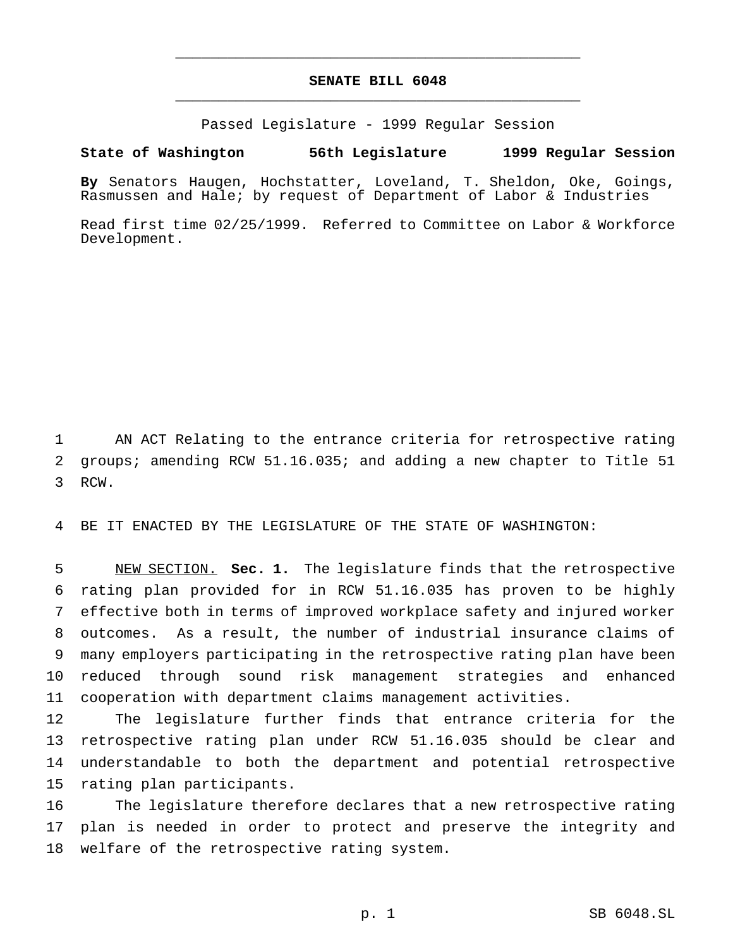# **SENATE BILL 6048** \_\_\_\_\_\_\_\_\_\_\_\_\_\_\_\_\_\_\_\_\_\_\_\_\_\_\_\_\_\_\_\_\_\_\_\_\_\_\_\_\_\_\_\_\_\_\_

\_\_\_\_\_\_\_\_\_\_\_\_\_\_\_\_\_\_\_\_\_\_\_\_\_\_\_\_\_\_\_\_\_\_\_\_\_\_\_\_\_\_\_\_\_\_\_

Passed Legislature - 1999 Regular Session

### **State of Washington 56th Legislature 1999 Regular Session**

**By** Senators Haugen, Hochstatter, Loveland, T. Sheldon, Oke, Goings, Rasmussen and Hale; by request of Department of Labor & Industries

Read first time 02/25/1999. Referred to Committee on Labor & Workforce Development.

 AN ACT Relating to the entrance criteria for retrospective rating groups; amending RCW 51.16.035; and adding a new chapter to Title 51 RCW.

BE IT ENACTED BY THE LEGISLATURE OF THE STATE OF WASHINGTON:

 NEW SECTION. **Sec. 1.** The legislature finds that the retrospective rating plan provided for in RCW 51.16.035 has proven to be highly effective both in terms of improved workplace safety and injured worker outcomes. As a result, the number of industrial insurance claims of many employers participating in the retrospective rating plan have been reduced through sound risk management strategies and enhanced cooperation with department claims management activities.

 The legislature further finds that entrance criteria for the retrospective rating plan under RCW 51.16.035 should be clear and understandable to both the department and potential retrospective rating plan participants.

 The legislature therefore declares that a new retrospective rating plan is needed in order to protect and preserve the integrity and welfare of the retrospective rating system.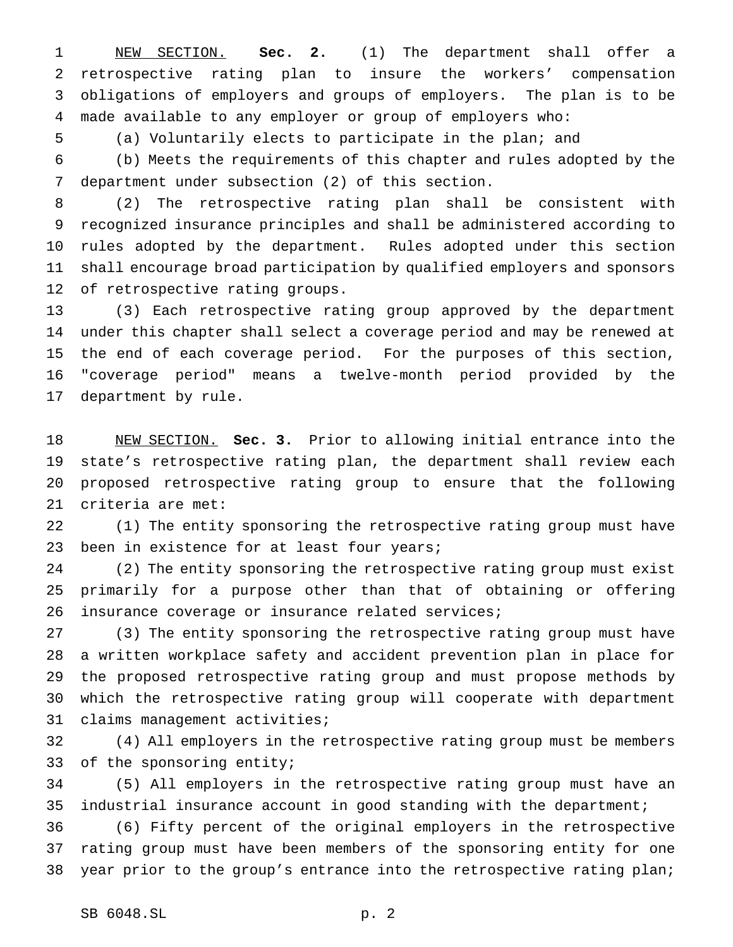NEW SECTION. **Sec. 2.** (1) The department shall offer a retrospective rating plan to insure the workers' compensation obligations of employers and groups of employers. The plan is to be made available to any employer or group of employers who:

(a) Voluntarily elects to participate in the plan; and

 (b) Meets the requirements of this chapter and rules adopted by the department under subsection (2) of this section.

 (2) The retrospective rating plan shall be consistent with recognized insurance principles and shall be administered according to rules adopted by the department. Rules adopted under this section shall encourage broad participation by qualified employers and sponsors of retrospective rating groups.

 (3) Each retrospective rating group approved by the department under this chapter shall select a coverage period and may be renewed at the end of each coverage period. For the purposes of this section, "coverage period" means a twelve-month period provided by the department by rule.

 NEW SECTION. **Sec. 3.** Prior to allowing initial entrance into the state's retrospective rating plan, the department shall review each proposed retrospective rating group to ensure that the following criteria are met:

 (1) The entity sponsoring the retrospective rating group must have 23 been in existence for at least four years;

 (2) The entity sponsoring the retrospective rating group must exist primarily for a purpose other than that of obtaining or offering insurance coverage or insurance related services;

 (3) The entity sponsoring the retrospective rating group must have a written workplace safety and accident prevention plan in place for the proposed retrospective rating group and must propose methods by which the retrospective rating group will cooperate with department claims management activities;

 (4) All employers in the retrospective rating group must be members of the sponsoring entity;

 (5) All employers in the retrospective rating group must have an industrial insurance account in good standing with the department;

 (6) Fifty percent of the original employers in the retrospective rating group must have been members of the sponsoring entity for one year prior to the group's entrance into the retrospective rating plan;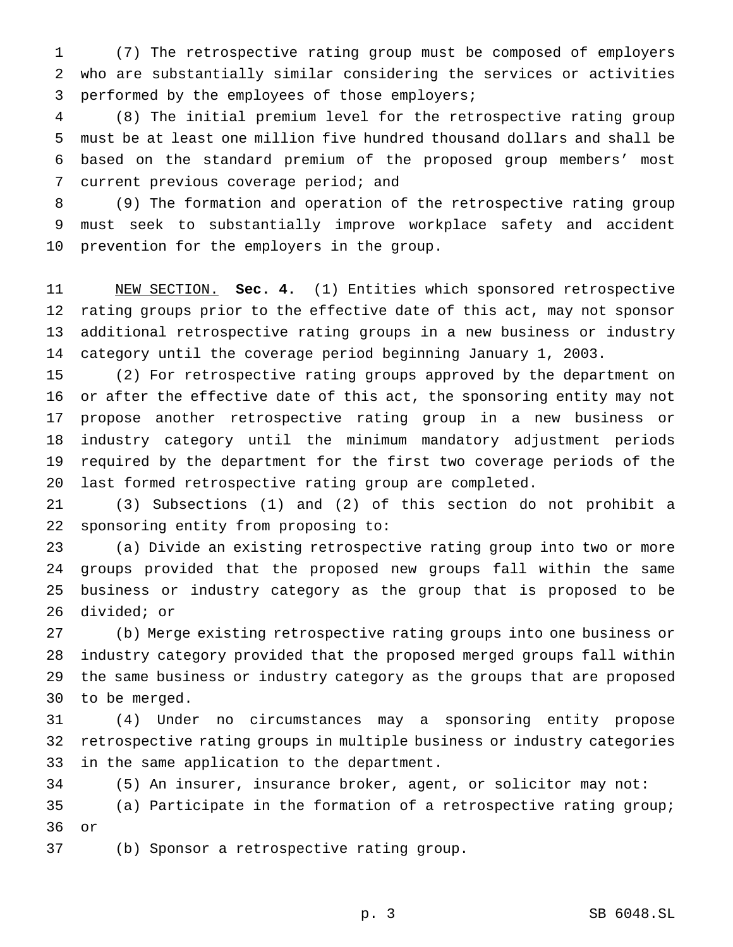(7) The retrospective rating group must be composed of employers who are substantially similar considering the services or activities performed by the employees of those employers;

 (8) The initial premium level for the retrospective rating group must be at least one million five hundred thousand dollars and shall be based on the standard premium of the proposed group members' most current previous coverage period; and

 (9) The formation and operation of the retrospective rating group must seek to substantially improve workplace safety and accident prevention for the employers in the group.

 NEW SECTION. **Sec. 4.** (1) Entities which sponsored retrospective rating groups prior to the effective date of this act, may not sponsor additional retrospective rating groups in a new business or industry category until the coverage period beginning January 1, 2003.

 (2) For retrospective rating groups approved by the department on or after the effective date of this act, the sponsoring entity may not propose another retrospective rating group in a new business or industry category until the minimum mandatory adjustment periods required by the department for the first two coverage periods of the last formed retrospective rating group are completed.

 (3) Subsections (1) and (2) of this section do not prohibit a sponsoring entity from proposing to:

 (a) Divide an existing retrospective rating group into two or more groups provided that the proposed new groups fall within the same business or industry category as the group that is proposed to be divided; or

 (b) Merge existing retrospective rating groups into one business or industry category provided that the proposed merged groups fall within the same business or industry category as the groups that are proposed to be merged.

 (4) Under no circumstances may a sponsoring entity propose retrospective rating groups in multiple business or industry categories in the same application to the department.

 (5) An insurer, insurance broker, agent, or solicitor may not: (a) Participate in the formation of a retrospective rating group; or

(b) Sponsor a retrospective rating group.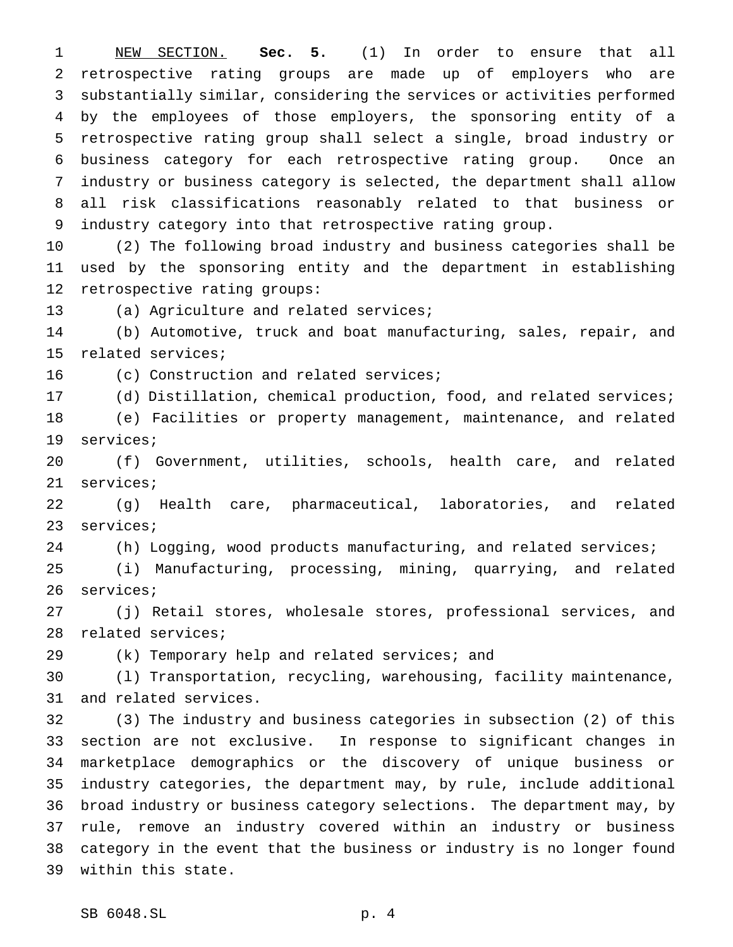NEW SECTION. **Sec. 5.** (1) In order to ensure that all retrospective rating groups are made up of employers who are substantially similar, considering the services or activities performed by the employees of those employers, the sponsoring entity of a retrospective rating group shall select a single, broad industry or business category for each retrospective rating group. Once an industry or business category is selected, the department shall allow all risk classifications reasonably related to that business or industry category into that retrospective rating group.

 (2) The following broad industry and business categories shall be used by the sponsoring entity and the department in establishing retrospective rating groups:

(a) Agriculture and related services;

 (b) Automotive, truck and boat manufacturing, sales, repair, and related services;

16 (c) Construction and related services;

(d) Distillation, chemical production, food, and related services;

 (e) Facilities or property management, maintenance, and related services;

 (f) Government, utilities, schools, health care, and related services;

 (g) Health care, pharmaceutical, laboratories, and related services;

(h) Logging, wood products manufacturing, and related services;

 (i) Manufacturing, processing, mining, quarrying, and related services;

 (j) Retail stores, wholesale stores, professional services, and related services;

(k) Temporary help and related services; and

 (l) Transportation, recycling, warehousing, facility maintenance, and related services.

 (3) The industry and business categories in subsection (2) of this section are not exclusive. In response to significant changes in marketplace demographics or the discovery of unique business or industry categories, the department may, by rule, include additional broad industry or business category selections. The department may, by rule, remove an industry covered within an industry or business category in the event that the business or industry is no longer found within this state.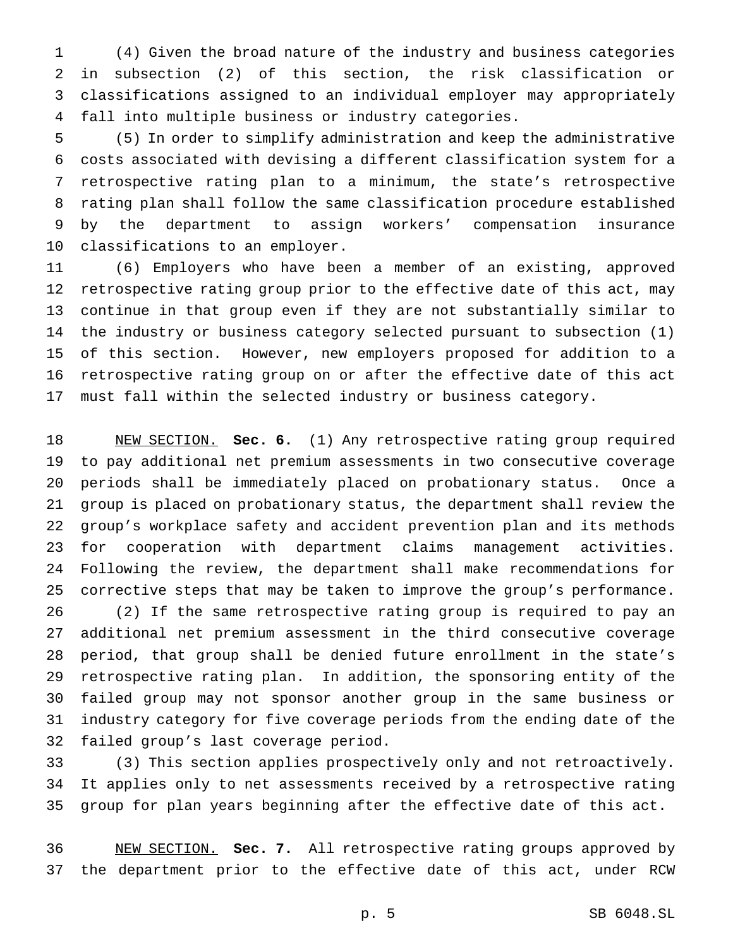(4) Given the broad nature of the industry and business categories in subsection (2) of this section, the risk classification or classifications assigned to an individual employer may appropriately fall into multiple business or industry categories.

 (5) In order to simplify administration and keep the administrative costs associated with devising a different classification system for a retrospective rating plan to a minimum, the state's retrospective rating plan shall follow the same classification procedure established by the department to assign workers' compensation insurance classifications to an employer.

 (6) Employers who have been a member of an existing, approved retrospective rating group prior to the effective date of this act, may continue in that group even if they are not substantially similar to the industry or business category selected pursuant to subsection (1) of this section. However, new employers proposed for addition to a retrospective rating group on or after the effective date of this act must fall within the selected industry or business category.

 NEW SECTION. **Sec. 6.** (1) Any retrospective rating group required to pay additional net premium assessments in two consecutive coverage periods shall be immediately placed on probationary status. Once a group is placed on probationary status, the department shall review the group's workplace safety and accident prevention plan and its methods for cooperation with department claims management activities. Following the review, the department shall make recommendations for corrective steps that may be taken to improve the group's performance. (2) If the same retrospective rating group is required to pay an additional net premium assessment in the third consecutive coverage period, that group shall be denied future enrollment in the state's retrospective rating plan. In addition, the sponsoring entity of the failed group may not sponsor another group in the same business or industry category for five coverage periods from the ending date of the failed group's last coverage period.

 (3) This section applies prospectively only and not retroactively. It applies only to net assessments received by a retrospective rating group for plan years beginning after the effective date of this act.

 NEW SECTION. **Sec. 7.** All retrospective rating groups approved by the department prior to the effective date of this act, under RCW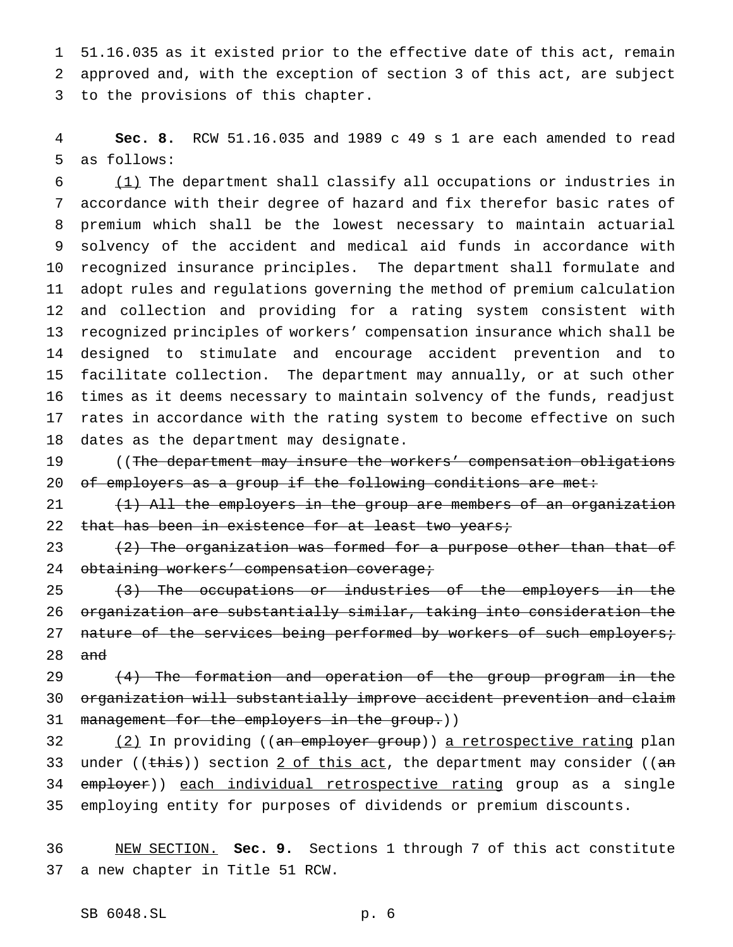51.16.035 as it existed prior to the effective date of this act, remain approved and, with the exception of section 3 of this act, are subject to the provisions of this chapter.

 **Sec. 8.** RCW 51.16.035 and 1989 c 49 s 1 are each amended to read as follows:

 (1) The department shall classify all occupations or industries in accordance with their degree of hazard and fix therefor basic rates of premium which shall be the lowest necessary to maintain actuarial solvency of the accident and medical aid funds in accordance with recognized insurance principles. The department shall formulate and adopt rules and regulations governing the method of premium calculation and collection and providing for a rating system consistent with recognized principles of workers' compensation insurance which shall be designed to stimulate and encourage accident prevention and to facilitate collection. The department may annually, or at such other times as it deems necessary to maintain solvency of the funds, readjust rates in accordance with the rating system to become effective on such dates as the department may designate.

 ((The department may insure the workers' compensation obligations 20 of employers as a group if the following conditions are met:

21 (1) All the employers in the group are members of an organization 22 that has been in existence for at least two years;

23  $(2)$  The organization was formed for a purpose other than that of 24 obtaining workers' compensation coverage;

25 (3) The occupations or industries of the employers in the organization are substantially similar, taking into consideration the 27 nature of the services being performed by workers of such employers; and

29 (4) The formation and operation of the group program in the organization will substantially improve accident prevention and claim 31 management for the employers in the group.))

32 (2) In providing ((an employer group)) a retrospective rating plan 33 under (( $\frac{this}{s}$ ) section 2 of this act, the department may consider (( $an$ 34 employer)) each individual retrospective rating group as a single employing entity for purposes of dividends or premium discounts.

 NEW SECTION. **Sec. 9.** Sections 1 through 7 of this act constitute a new chapter in Title 51 RCW.